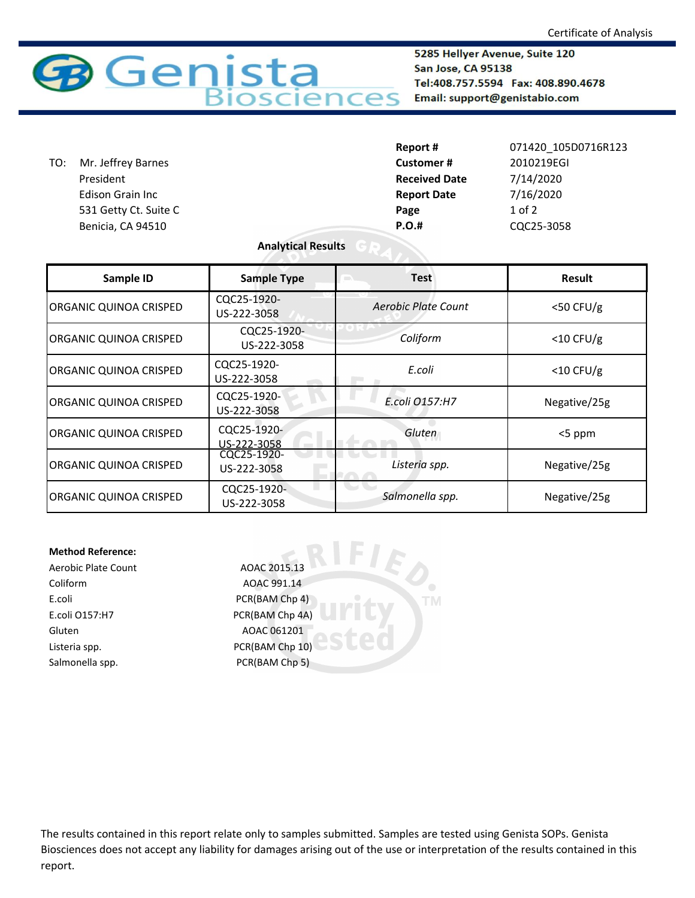

5285 Hellyer Avenue, Suite 120 San Jose, CA 95138 Tel:408.757.5594 Fax: 408.890.4678 Email: support@genistabio.com

|     |                         | Report #             | 071420 105D0716R123 |
|-----|-------------------------|----------------------|---------------------|
| TO: | Mr. Jeffrey Barnes      | Customer#            | 2010219EGI          |
|     | President               | <b>Received Date</b> | 7/14/2020           |
|     | <b>Edison Grain Inc</b> | <b>Report Date</b>   | 7/16/2020           |
|     | 531 Getty Ct. Suite C   | Page                 | $1$ of $2$          |
|     | Benicia, CA 94510       | <b>P.O.#</b>         | CQC25-3058          |
|     |                         |                      |                     |

## **Analytical Results**

| Sample ID                     | <b>Sample Type</b>         | <b>Test</b>         | Result       |
|-------------------------------|----------------------------|---------------------|--------------|
| <b>ORGANIC QUINOA CRISPED</b> | CQC25-1920-<br>US-222-3058 | Aerobic Plate Count | $<$ 50 CFU/g |
| <b>ORGANIC QUINOA CRISPED</b> | CQC25-1920-<br>US-222-3058 | Coliform            | $<$ 10 CFU/g |
| <b>ORGANIC QUINOA CRISPED</b> | CQC25-1920-<br>US-222-3058 | E.coli              | $<$ 10 CFU/g |
| <b>ORGANIC QUINOA CRISPED</b> | CQC25-1920-<br>US-222-3058 | E.coli 0157:H7      | Negative/25g |
| <b>ORGANIC QUINOA CRISPED</b> | CQC25-1920-<br>US-222-3058 | Gluten              | $<$ 5 ppm    |
| <b>ORGANIC QUINOA CRISPED</b> | CQC25-1920-<br>US-222-3058 | Listeria spp.       | Negative/25g |
| <b>ORGANIC QUINOA CRISPED</b> | CQC25-1920-<br>US-222-3058 | Salmonella spp.     | Negative/25g |

**TM** 

## **Method Reference:**

Coliform AOAC 991.14 E.coli PCR(BAM Chp 4) E.coli O157:H7 PCR(BAM Chp 4A) Gluten AOAC 061201 Listeria spp. The CR(BAM Chp 10) Salmonella spp. PCR(BAM Chp 5)

Aerobic Plate Count AOAC 2015.13